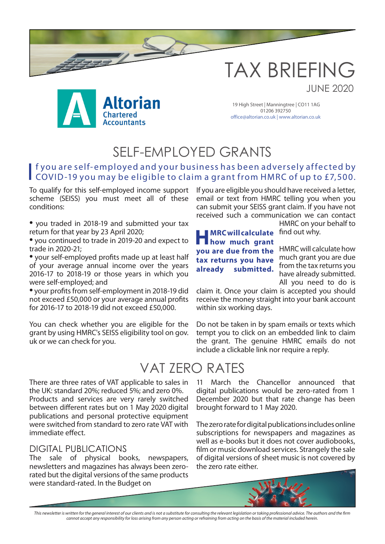



19 High Street | Manningtree | CO11 1AG 01206 392750 office@altorian.co.uk | www.altorian.co.uk

## SELF-EMPLOYED GRANTS

### If you are self-employed and your business has been adversely affected by<br>COVID-19 you may be eligible to claim a grant from HMRC of up to £7,500. f you are self-employed and your business has been adversely affected by

To qualify for this self-employed income support scheme (SEISS) you must meet all of these conditions:

• you traded in 2018-19 and submitted your tax return for that year by 23 April 2020;

• you continued to trade in 2019-20 and expect to trade in 2020-21;

• your self-employed profits made up at least half of your average annual income over the years 2016-17 to 2018-19 or those years in which you were self-employed; and

• your profits from self-employment in 2018-19 did not exceed £50,000 or your average annual profits for 2016-17 to 2018-19 did not exceed £50,000.

You can check whether you are eligible for the grant by using HMRC's SEISS eligibility tool on gov. uk or we can check for you.

If you are eligible you should have received a letter, email or text from HMRC telling you when you can submit your SEISS grant claim. If you have not received such a communication we can contact HMRC on your behalf to

**MRC will calculate** find out why. much grant you are due **tax returns you have HMRC will calculate how much grant you are due from the already submitted.**

HMRC will calculate how from the tax returns you have already submitted. All you need to do is

JUNE 2020

claim it. Once your claim is accepted you should receive the money straight into your bank account within six working days.

Do not be taken in by spam emails or texts which tempt you to click on an embedded link to claim the grant. The genuine HMRC emails do not include a clickable link nor require a reply.

## VAT ZERO RATES

There are three rates of VAT applicable to sales in the UK: standard 20%; reduced 5%; and zero 0%. Products and services are very rarely switched between different rates but on 1 May 2020 digital publications and personal protective equipment were switched from standard to zero rate VAT with immediate effect.

#### DIGITAL PUBLICATIONS

The sale of physical books, newspapers, newsletters and magazines has always been zerorated but the digital versions of the same products were standard-rated. In the Budget on

11 March the Chancellor announced that digital publications would be zero-rated from 1 December 2020 but that rate change has been brought forward to 1 May 2020.

The zero rate for digital publications includes online subscriptions for newspapers and magazines as well as e-books but it does not cover audiobooks, film or music download services. Strangely the sale of digital versions of sheet music is not covered by the zero rate either.

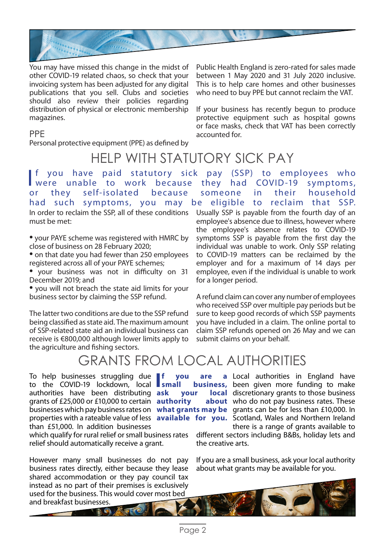

You may have missed this change in the midst of other COVID-19 related chaos, so check that your invoicing system has been adjusted for any digital publications that you sell. Clubs and societies should also review their policies regarding distribution of physical or electronic membership magazines.

PPE

Personal protective equipment (PPE) as defined by

## HELP WITH STATUTORY SICK PAY

In order to reclaim the SSP, all of these conditions must be met: **Income of the Company** you have paid statutory sick pay (SSP) to employees who were unable to work because they had COVID-19 symptoms, or they self-isolated because someone in their household had such symptoms, you may be eligible to reclaim that SSP.

• your PAYE scheme was registered with HMRC by close of business on 28 February 2020;

• on that date you had fewer than 250 employees registered across all of your PAYE schemes;

• your business was not in difficulty on 31 December 2019; and

• you will not breach the state aid limits for your business sector by claiming the SSP refund.

The latter two conditions are due to the SSP refund being classified as state aid. The maximum amount of SSP-related state aid an individual business can receive is €800,000 although lower limits apply to the agriculture and fishing sectors.

Public Health England is zero-rated for sales made between 1 May 2020 and 31 July 2020 inclusive. This is to help care homes and other businesses who need to buy PPE but cannot reclaim the VAT.

If your business has recently begun to produce protective equipment such as hospital gowns or face masks, check that VAT has been correctly accounted for.

Usually SSP is payable from the fourth day of an employee's absence due to illness, however where the employee's absence relates to COVID-19 symptoms SSP is payable from the first day the individual was unable to work. Only SSP relating to COVID-19 matters can be reclaimed by the employer and for a maximum of 14 days per employee, even if the individual is unable to work for a longer period.

A refund claim can cover any number of employees who received SSP over multiple pay periods but be sure to keep good records of which SSP payments you have included in a claim. The online portal to claim SSP refunds opened on 26 May and we can submit claims on your behalf.

## GRANTS FROM LOCAL AUTHORITIES

To help businesses struggling due f To help businesses struggling due authorities have been distributing ask grants of £25,000 or £10,000 to certain **authority about**  than £51,000. In addition businesses

which qualify for rural relief or small business rates relief should automatically receive a grant.

However many small businesses do not pay business rates directly, either because they lease shared accommodation or they pay council tax instead as no part of their premises is exclusively used for the business. This would cover most bed

businesses which pay business rates on what grants may be grants can be for less than £10,000. In properties with a rateable value of less **available for you.** Scotland, Wales and Northern Ireland f you are a Local authorities in England have small business, been given more funding to make ask your local discretionary grants to those business about who do not pay business rates. These there is a range of grants available to

different sectors including B&Bs, holiday lets and the creative arts.

If you are a small business, ask your local authority about what grants may be available for you.

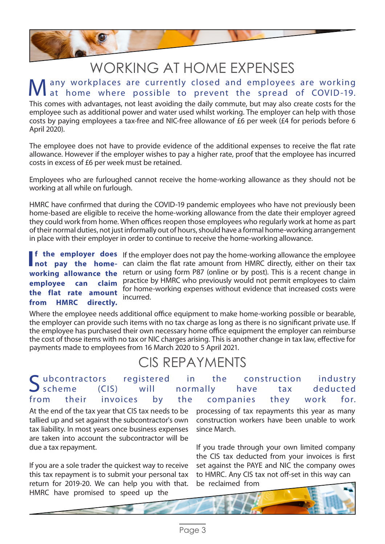

# WORKING AT HOME EXPENSES

### any workplaces are currently closed and employees are working at home where possible to prevent the spread of COVID-19.

This comes with advantages, not least avoiding the daily commute, but may also create costs for the employee such as additional power and water used whilst working. The employer can help with those costs by paying employees a tax-free and NIC-free allowance of £6 per week (£4 for periods before 6 April 2020).

The employee does not have to provide evidence of the additional expenses to receive the flat rate allowance. However if the employer wishes to pay a higher rate, proof that the employee has incurred costs in excess of £6 per week must be retained.

Employees who are furloughed cannot receive the home-working allowance as they should not be working at all while on furlough.

HMRC have confirmed that during the COVID-19 pandemic employees who have not previously been home-based are eligible to receive the home-working allowance from the date their employer agreed they could work from home. When offices reopen those employees who regularly work at home as part of their normal duties, not just informally out of hours, should have a formal home-working arrangement in place with their employer in order to continue to receive the home-working allowance.

**employee can the flat rate amount from HMRC directly.**

**f the employer does** If the employer does not pay the home-working allowance the employee **If the employer does** If the employer does not pay the home-working allowance the employee not pay the home- can claim the flat rate amount from HMRC directly, either on their tax working allowance the return or using form P87 (online or by post). This is a recent change in practice by HMRC who previously would not permit employees to claim for home-working expenses without evidence that increased costs were incurred.

Where the employee needs additional office equipment to make home-working possible or bearable, the employer can provide such items with no tax charge as long as there is no significant private use. If the employee has purchased their own necessary home office equipment the employer can reimburse the cost of those items with no tax or NIC charges arising. This is another change in tax law, effective for payments made to employees from 16 March 2020 to 5 April 2021.

## CIS REPAYMENTS

### Subcontractors registered in the construction industry<br>Scheme (CIS) will normally have tax deducted  $S$  scheme (CIS) will normally have tax deducted from their invoices by the companies they work for.

At the end of the tax year that CIS tax needs to be tallied up and set against the subcontractor's own tax liability. In most years once business expenses are taken into account the subcontractor will be due a tax repayment.

If you are a sole trader the quickest way to receive this tax repayment is to submit your personal tax return for 2019-20. We can help you with that. HMRC have promised to speed up the

processing of tax repayments this year as many construction workers have been unable to work since March.

If you trade through your own limited company the CIS tax deducted from your invoices is first set against the PAYE and NIC the company owes to HMRC. Any CIS tax not off-set in this way can be reclaimed from